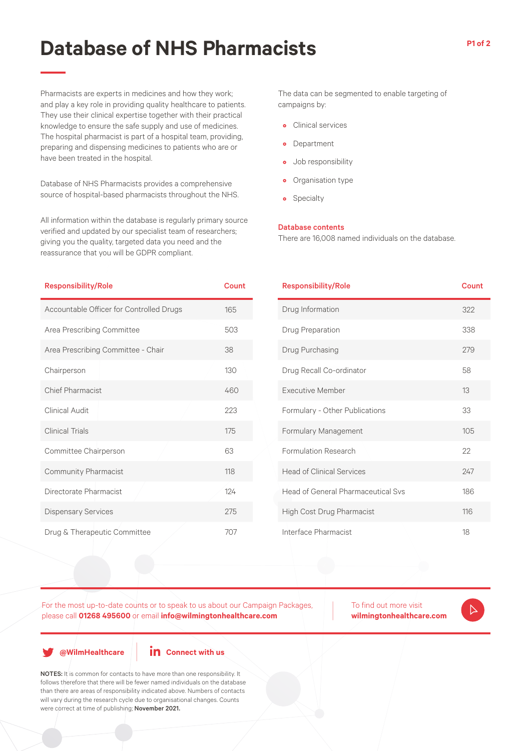# **Database of NHS Pharmacists**

Pharmacists are experts in medicines and how they work; and play a key role in providing quality healthcare to patients. They use their clinical expertise together with their practical knowledge to ensure the safe supply and use of medicines. The hospital pharmacist is part of a hospital team, providing, preparing and dispensing medicines to patients who are or have been treated in the hospital.

Database of NHS Pharmacists provides a comprehensive source of hospital-based pharmacists throughout the NHS.

All information within the database is regularly primary source verified and updated by our specialist team of researchers; giving you the quality, targeted data you need and the reassurance that you will be GDPR compliant.

The data can be segmented to enable targeting of campaigns by:

- Clinical services
- Department
- Job responsibility
- Organisation type
- Specialty

#### Database contents

There are 16,008 named individuals on the database.

| <b>Responsibility/Role</b>               | <b>Count</b> | <b>Responsibility/Role</b>                | Count |
|------------------------------------------|--------------|-------------------------------------------|-------|
| Accountable Officer for Controlled Drugs | 165          | Drug Information                          | 322   |
| Area Prescribing Committee               | 503          | Drug Preparation                          | 338   |
| Area Prescribing Committee - Chair       | 38           | Drug Purchasing                           | 279   |
| Chairperson                              | 130          | Drug Recall Co-ordinator                  | 58    |
| <b>Chief Pharmacist</b>                  | 460          | <b>Executive Member</b>                   | 13    |
| Clinical Audit                           | 223          | Formulary - Other Publications            | 33    |
| <b>Clinical Trials</b>                   | 175          | Formulary Management                      | 105   |
| Committee Chairperson                    | 63           | Formulation Research                      | 22    |
| Community Pharmacist                     | 118          | <b>Head of Clinical Services</b>          | 247   |
| Directorate Pharmacist                   | 124          | <b>Head of General Pharmaceutical Sys</b> | 186   |
| <b>Dispensary Services</b>               | 275          | High Cost Drug Pharmacist                 | 116   |
| Drug & Therapeutic Committee             | 707          | Interface Pharmacist                      | 18    |

For the most up-to-date counts or to speak to us about our Campaign Packages, please call **01268 495600** or email **info@wilmingtonhealthcare.com**

To find out more visit **wilmingtonhealthcare.com**

**@WilmHealthcare**

### **in** Connect with us

NOTES: It is common for contacts to have more than one responsibility. It follows therefore that there will be fewer named individuals on the database than there are areas of responsibility indicated above. Numbers of contacts will vary during the research cycle due to organisational changes. Counts were correct at time of publishing; November 2021.